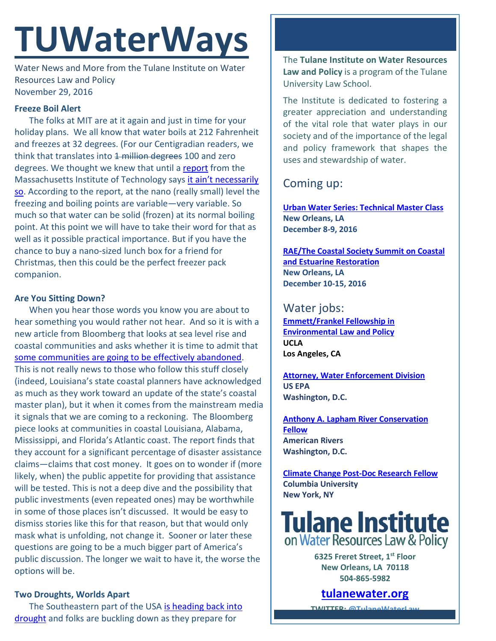# **TUWaterWays**

Water News and More from the Tulane Institute on Water Resources Law and Policy November 29, 2016

# **Freeze Boil Alert**

The folks at MIT are at it again and just in time for your holiday plans. We all know that water boils at 212 Fahrenheit and freezes at 32 degrees. (For our Centigradian readers, we think that translates into 1 million degrees 100 and zero degrees. We thought we knew that until a [report](http://news.mit.edu/2016/carbon-nanotubes-water-solid-boiling-1128) from the Massachusetts Institute of Technology says it ain't necessarily [so.](https://www.youtube.com/watch?v=lBOgH5f36cQ) According to the report, at the nano (really small) level the freezing and boiling points are variable—very variable. So much so that water can be solid (frozen) at its normal boiling point. At this point we will have to take their word for that as well as it possible practical importance. But if you have the chance to buy a nano-sized lunch box for a friend for Christmas, then this could be the perfect freezer pack companion.

## **Are You Sitting Down?**

When you hear those words you know you are about to hear something you would rather not hear. And so it is with a new article from Bloomberg that looks at sea level rise and coastal communities and asks whether it is time to admit that [some communities are going to be effectively abandoned.](https://www.bloomberg.com/view/arti) This is not really news to those who follow this stuff closely (indeed, Louisiana's state coastal planners have acknowledged as much as they work toward an update of the state's coastal master plan), but it when it comes from the mainstream media it signals that we are coming to a reckoning. The Bloomberg piece looks at communities in coastal Louisiana, Alabama, Mississippi, and Florida's Atlantic coast. The report finds that they account for a significant percentage of disaster assistance claims—claims that cost money. It goes on to wonder if (more likely, when) the public appetite for providing that assistance will be tested. This is not a deep dive and the possibility that public investments (even repeated ones) may be worthwhile in some of those places isn't discussed. It would be easy to dismiss stories like this for that reason, but that would only mask what is unfolding, not change it. Sooner or later these questions are going to be a much bigger part of America's public discussion. The longer we wait to have it, the worse the options will be.

## **Two Droughts, Worlds Apart**

The Southeastern part of the USA [is heading back into](http://www.cbsnews.com/news/early-signs-of-water-woes-in-parts-of-the-south/)  [drought](http://www.cbsnews.com/news/early-signs-of-water-woes-in-parts-of-the-south/) and folks are buckling down as they prepare for

The **Tulane Institute on Water Resources Law and Policy** is a program of the Tulane University Law School.

The Institute is dedicated to fostering a greater appreciation and understanding of the vital role that water plays in our society and of the importance of the legal and policy framework that shapes the uses and stewardship of water.

# Coming up:

**[Urban Water Series: Technical Master Class](http://www.gnof.org/work/environment/urban-water/) New Orleans, LA December 8-9, 2016**

**[RAE/The Coastal Society Summit on Coastal](https://www.estuaries.org/Summit)  [and Estuarine Restoration](https://www.estuaries.org/Summit) New Orleans, LA December 10-15, 2016**

# Water jobs:

**[Emmett/Frankel Fellowship in](https://recruit.apo.ucla.edu/apply/JPF02701)  [Environmental Law and Policy](https://recruit.apo.ucla.edu/apply/JPF02701) UCLA Los Angeles, CA** 

**[Attorney, Water Enforcement Division](https://www.epa.gov/enforcement/water-enforcement) US EPA Washington, D.C.**

**[Anthony A. Lapham River Conservation](https://www.americanrivers.org/about-us/careers/open-position-lapham-river-conservation-fellow/)  [Fellow](https://www.americanrivers.org/about-us/careers/open-position-lapham-river-conservation-fellow/) American Rivers Washington, D.C.**

**[Climate Change Post-Doc Research Fellow](https://academicjobs.columbia.edu/applicants/jsp/shared/frameset/Frameset.jsp?time=1479753129326) Columbia University New York, NY**

**Tulane Institute**<br>on Water Resources Law & Policy

**6325 Freret Street, 1st Floor New Orleans, LA 70118 504-865-5982** 

**tulanewater.org**

**TWITTER: [@TulaneWaterLaw](http://www.twitter.com/TulaneWaterLaw)**